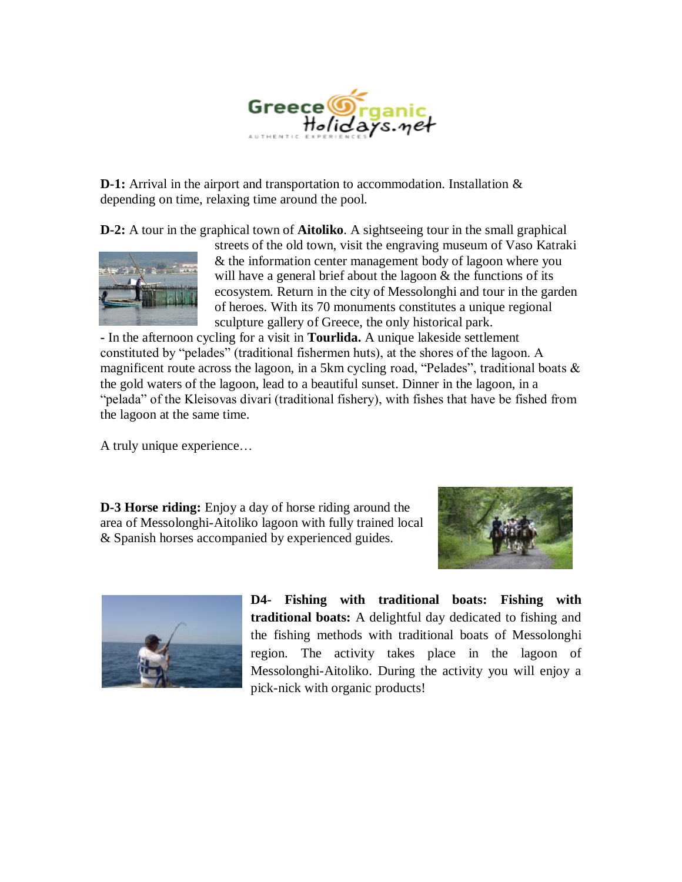

**D-1:** Arrival in the airport and transportation to accommodation. Installation  $\&$ depending on time, relaxing time around the pool.

**D-2:** A tour in the graphical town of **Aitoliko**. A sightseeing tour in the small graphical



streets of the old town, visit the engraving museum of Vaso Katraki & the information center management body of lagoon where you will have a general brief about the lagoon & the functions of its ecosystem. Return in the city of Messolonghi and tour in the garden of heroes. With its 70 monuments constitutes a unique regional sculpture gallery of Greece, the only historical park.

**-** In the afternoon cycling for a visit in **Tourlida.** A unique lakeside settlement constituted by "pelades" (traditional fishermen huts), at the shores of the lagoon. A magnificent route across the lagoon, in a 5km cycling road, "Pelades", traditional boats & the gold waters of the lagoon, lead to a beautiful sunset. Dinner in the lagoon, in a "pelada" of the Kleisovas divari (traditional fishery), with fishes that have be fished from the lagoon at the same time.

A truly unique experience…

**D-3 Horse riding:** Enjoy a day of horse riding around the area of Messolonghi-Aitoliko lagoon with fully trained local & Spanish horses accompanied by experienced guides.





**D4- Fishing with traditional boats: Fishing with traditional boats:** A delightful day dedicated to fishing and the fishing methods with traditional boats of Messolonghi region. The activity takes place in the lagoon of Messolonghi-Aitoliko. During the activity you will enjoy a pick-nick with organic products!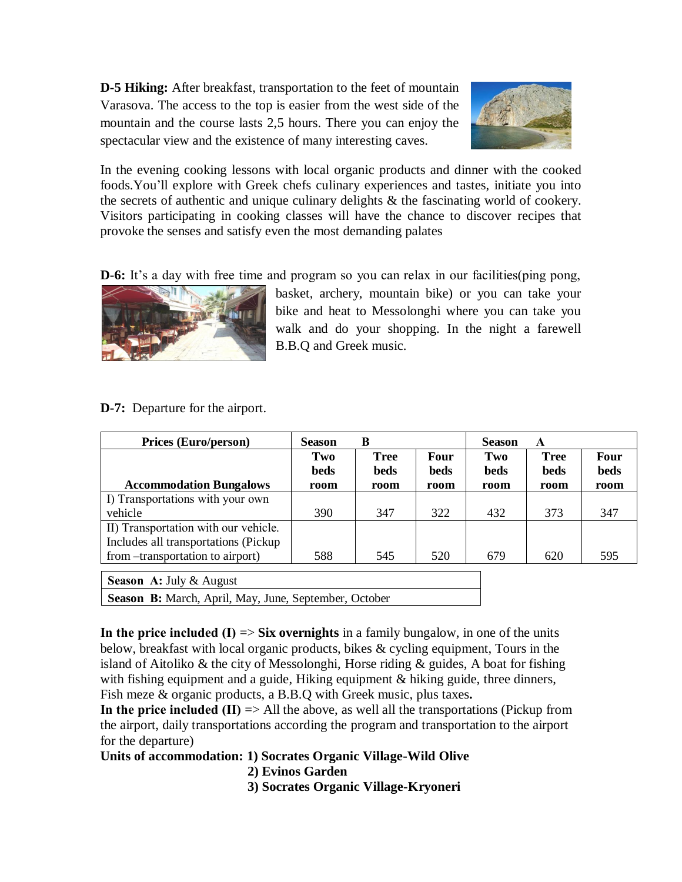**D-5 Hiking:** After breakfast, transportation to the feet of mountain Varasova. The access to the top is easier from the west side of the mountain and the course lasts 2,5 hours. There you can enjoy the spectacular view and the existence of many interesting caves.



In the evening cooking lessons with local organic products and dinner with the cooked foods.You'll explore with Greek chefs culinary experiences and tastes, initiate you into the secrets of authentic and unique culinary delights & the fascinating world of cookery. Visitors participating in cooking classes will have the chance to discover recipes that provoke the senses and satisfy even the most demanding palates

**D-6:** It's a day with free time and program so you can relax in our facilities(ping pong,



basket, archery, mountain bike) or you can take your bike and heat to Messolonghi where you can take you walk and do your shopping. In the night a farewell B.B.Q and Greek music.

## **D-7:** Departure for the airport.

| <b>Season</b> | B           |             | <b>Season</b> | A           |                            |
|---------------|-------------|-------------|---------------|-------------|----------------------------|
| Two           | <b>Tree</b> | <b>Four</b> | Two           | <b>Tree</b> | <b>Four</b><br><b>beds</b> |
| room          | room        | room        | room          | room        | room                       |
|               |             |             |               |             |                            |
| 390           | 347         | 322         | 432           | 373         | 347                        |
|               |             |             |               |             |                            |
|               |             |             |               |             |                            |
| 588           | 545         | 520         | 679           | 620         | 595                        |
|               | <b>beds</b> | beds        | <b>beds</b>   | <b>beds</b> | <b>beds</b>                |

**Season Α:** July & August

Season B: March, April, May, June, September, October

**In the price included (Ι)** => **Six overnights** in a family bungalow, in one of the units below, breakfast with local organic products, bikes & cycling equipment, Tours in the island of Aitoliko  $\&$  the city of Messolonghi, Horse riding  $\&$  guides, A boat for fishing with fishing equipment and a guide, Hiking equipment & hiking guide, three dinners, Fish meze & organic products, a B.B.Q with Greek music, plus taxes**.** 

**In the price included (II)**  $\Rightarrow$  All the above, as well all the transportations (Pickup from the airport, daily transportations according the program and transportation to the airport for the departure)

**Units of accommodation: 1) Socrates Organic Village-Wild Olive**

 **2) Evinos Garden**

**3) Socrates Organic Village-Kryoneri**